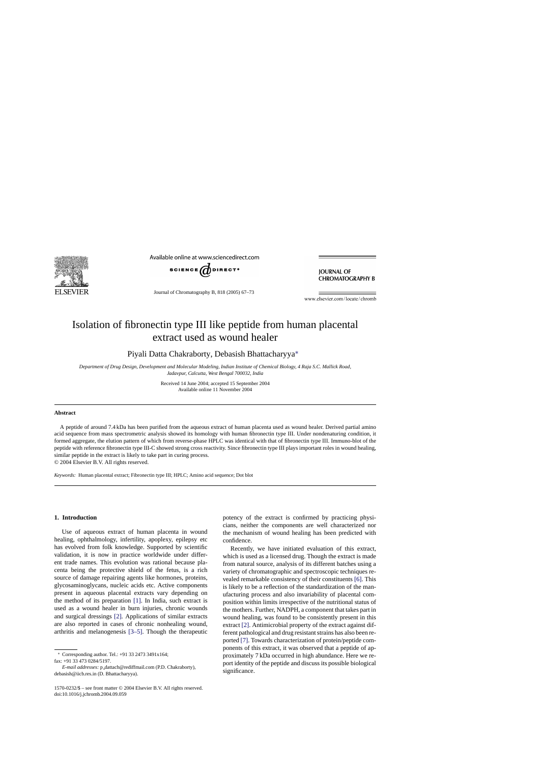

Available online at www.sciencedirect.com



Journal of Chromatography B, 818 (2005) 67–73

**IOURNAL OF CHROMATOGRAPHY B** 

www.elsevier.com/locate/chromb

# Isolation of fibronectin type III like peptide from human placental extract used as wound healer

Piyali Datta Chakraborty, Debasish Bhattacharyya∗

*Department of Drug Design, Development and Molecular Modeling, Indian Institute of Chemical Biology, 4 Raja S.C. Mallick Road, Jadavpur, Calcutta, West Bengal 700032, India*

> Received 14 June 2004; accepted 15 September 2004 Available online 11 November 2004

#### **Abstract**

A peptide of around 7.4 kDa has been purified from the aqueous extract of human placenta used as wound healer. Derived partial amino acid sequence from mass spectrometric analysis showed its homology with human fibronectin type III. Under nondenaturing condition, it formed aggregate, the elution pattern of which from reverse-phase HPLC was identical with that of fibronectin type III. Immuno-blot of the peptide with reference fibronectin type III-C showed strong cross reactivity. Since fibronectin type III plays important roles in wound healing, similar peptide in the extract is likely to take part in curing process.

© 2004 Elsevier B.V. All rights reserved.

*Keywords:* Human placental extract; Fibronectin type III; HPLC; Amino acid sequence; Dot blot

# **1. Introduction**

Use of aqueous extract of human placenta in wound healing, ophthalmology, infertility, apoplexy, epilepsy etc has evolved from folk knowledge. Supported by scientific validation, it is now in practice worldwide under different trade names. This evolution was rational because placenta being the protective shield of the fetus, is a rich source of damage repairing agents like hormones, proteins, glycosaminoglycans, nucleic acids etc. Active components present in aqueous placental extracts vary depending on the method of its preparation [\[1\].](#page-6-0) In India, such extract is used as a wound healer in burn injuries, chronic wounds and surgical dressings [\[2\].](#page-6-0) Applications of similar extracts are also reported in cases of chronic nonhealing wound, arthritis and melanogenesis [\[3–5\].](#page-6-0) Though the therapeutic

∗ Corresponding author. Tel.: +91 33 2473 3491x164; fax: +91 33 473 0284/5197.

*E-mail addresses:* p\_dattach@rediffmail.com (P.D. Chakraborty), debasish@iicb.res.in (D. Bhattacharyya).

potency of the extract is confirmed by practicing physicians, neither the components are well characterized nor the mechanism of wound healing has been predicted with confidence.

Recently, we have initiated evaluation of this extract, which is used as a licensed drug. Though the extract is made from natural source, analysis of its different batches using a variety of chromatographic and spectroscopic techniques revealed remarkable consistency of their constituents [\[6\].](#page-6-0) This is likely to be a reflection of the standardization of the manufacturing process and also invariability of placental composition within limits irrespective of the nutritional status of the mothers. Further, NADPH, a component that takes part in wound healing, was found to be consistently present in this extract [\[2\]. A](#page-6-0)ntimicrobial property of the extract against different pathological and drug resistant strains has also been reported [\[7\]. T](#page-6-0)owards characterization of protein/peptide components of this extract, it was observed that a peptide of approximately 7 kDa occurred in high abundance. Here we report identity of the peptide and discuss its possible biological significance.

<sup>1570-0232/\$ –</sup> see front matter © 2004 Elsevier B.V. All rights reserved. doi:10.1016/j.jchromb.2004.09.059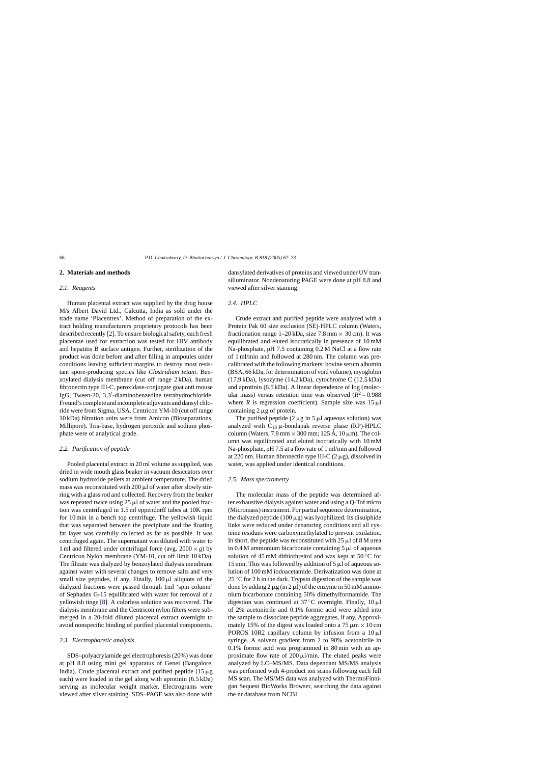# **2. Materials and methods**

#### *2.1. Reagents*

Human placental extract was supplied by the drug house M/s Albert David Ltd., Calcutta, India as sold under the trade name 'Placentrex'. Method of preparation of the extract holding manufacturers proprietary protocols has been described recently [\[2\]. T](#page-6-0)o ensure biological safety, each fresh placentae used for extraction was tested for HIV antibody and hepatitis B surface antigen. Further, sterilization of the product was done before and after filling in ampoules under conditions leaving sufficient margins to destroy most resistant spore-producing species like *Clostridium tetani*. Benzoylated dialysis membrane (cut off range 2 kDa), human fibronectin type III-C, peroxidase-conjugate goat anti mouse IgG, Tween-20, 3,3'-diaminobenzedine tetrahydrochloride, Freund's complete and incomplete adjuvants and dansyl chloride were from Sigma, USA. Centricon YM-10 (cut off range 10 kDa) filtration units were from Amicon (Bioseparations, Millipore). Tris-base, hydrogen peroxide and sodium phosphate were of analytical grade.

## *2.2. Purification of peptide*

Pooled placental extract in 20 ml volume as supplied, was dried in wide mouth glass beaker in vacuum desiccators over sodium hydroxide pellets at ambient temperature. The dried mass was reconstituted with  $200 \mu l$  of water after slowly stirring with a glass rod and collected. Recovery from the beaker was repeated twice using  $25 \mu$  of water and the pooled fraction was centrifuged in 1.5 ml eppendorff tubes at 10K rpm for 10 min in a bench top centrifuge. The yellowish liquid that was separated between the precipitate and the floating fat layer was carefully collected as far as possible. It was centrifuged again. The supernatant was diluted with water to 1 ml and filtered under centrifugal force (avg.  $2000 \times g$ ) by Centricon Nylon membrane (YM-10, cut off limit 10 kDa). The filtrate was dialyzed by benzoylated dialysis membrane against water with several changes to remove salts and very small size peptides, if any. Finally,  $100 \mu l$  aliquots of the dialyzed fractions were passed through 1ml 'spin column' of Sephadex G-15 equilibrated with water for removal of a yellowish tinge [\[8\]. A](#page-6-0) colorless solution was recovered. The dialysis membrane and the Centricon nylon filters were submerged in a 20-fold diluted placental extract overnight to avoid nonspecific binding of purified placental components.

# *2.3. Electrophoretic analysis*

SDS–polyacrylamide gel electrophoresis (20%) was done at pH 8.8 using mini gel apparatus of Genei (Bangalore, India). Crude placental extract and purified peptide  $(15 \mu g)$ each) were loaded in the gel along with aprotinin (6.5 kDa) serving as molecular weight marker. Electrograms were viewed after silver staining. SDS–PAGE was also done with dansylated derivatives of proteins and viewed under UV transilluminator. Nondenaturing PAGE were done at pH 8.8 and viewed after silver staining.

# *2.4. HPLC*

Crude extract and purified peptide were analyzed with a Protein Pak 60 size exclusion (SE)-HPLC column (Waters, fractionation range  $1-20$  kDa, size 7.8 mm  $\times$  30 cm). It was equilibrated and eluted isocratically in presence of 10 mM Na-phosphate, pH 7.5 containing 0.2 M NaCl at a flow rate of 1 ml/min and followed at 280 nm. The column was precalibrated with the following markers: bovine serum albumin (BSA, 66 kDa, for determination of void volume), myoglobin (17.9 kDa), lysozyme (14.2 kDa), cytochrome C (12.5 kDa) and aprotinin (6.5 kDa). A linear dependence of log (molecular mass) versus retention time was observed  $(R^2 = 0.988)$ where *R* is regression coefficient). Sample size was  $15 \mu$ l containing  $2 \mu$ g of protein.

The purified peptide  $(2 \mu g \text{ in } 5 \mu l)$  aqueous solution) was analyzed with  $C_{18} \mu$ -bondapak reverse phase (RP)-HPLC column (Waters,  $7.8 \text{ mm} \times 300 \text{ mm}$ ;  $125 \text{ Å}$ ,  $10 \mu \text{m}$ ). The column was equilibrated and eluted isocratically with 10 mM Na-phosphate, pH 7.5 at a flow rate of 1 ml/min and followed at 220 nm. Human fibronectin type III-C  $(2 \mu g)$ , dissolved in water, was applied under identical conditions.

## *2.5. Mass spectrometry*

The molecular mass of the peptide was determined after exhaustive dialysis against water and using a Q-Tof micro (Micromass) instrument. For partial sequence determination, the dialyzed peptide  $(100 \mu g)$  was lyophilized. Its disulphide links were reduced under denaturing conditions and all cysteine residues were carboxymethylated to prevent oxidation. In short, the peptide was reconstituted with  $25 \mu$ l of 8 M urea in 0.4 M ammonium bicarbonate containing  $5 \mu$  of aqueous solution of 45 mM dithiothreitol and was kept at 50 $\degree$ C for 15 min. This was followed by addition of  $5 \mu$  of aqueous solution of 100 mM iodoacetamide. Derivatization was done at  $25^{\circ}$ C for 2 h in the dark. Trypsin digestion of the sample was done by adding  $2 \mu g$  (in  $2 \mu l$ ) of the enzyme in 50 mM ammonium bicarbonate containing 50% dimethylformamide. The digestion was continued at  $37^{\circ}$ C overnight. Finally,  $10 \mu$ l of 2% acetonitrile and 0.1% formic acid were added into the sample to dissociate peptide aggregates, if any. Approximately 15% of the digest was loaded onto a 75  $\mu$ m  $\times$  10 cm POROS 10R2 capillary column by infusion from a  $10 \mu$ l syringe. A solvent gradient from 2 to 90% acetonitrile in 0.1% formic acid was programmed in 80 min with an approximate flow rate of  $200 \mu l/min$ . The eluted peaks were analyzed by LC–MS/MS. Data dependant MS/MS analysis was performed with 4-product ion scans following each full MS scan. The MS/MS data was analyzed with ThermoFinnigan Sequest BioWorks Browser, searching the data against the nr database from NCBI.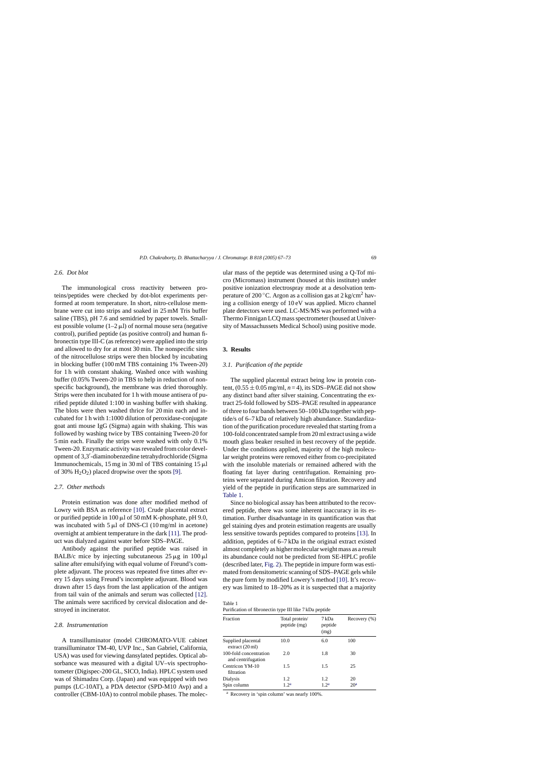# <span id="page-2-0"></span>*2.6. Dot blot*

The immunological cross reactivity between proteins/peptides were checked by dot-blot experiments performed at room temperature. In short, nitro-cellulose membrane were cut into strips and soaked in 25 mM Tris buffer saline (TBS), pH 7.6 and semidried by paper towels. Smallest possible volume  $(1-2 \mu I)$  of normal mouse sera (negative control), purified peptide (as positive control) and human fibronectin type III-C (as reference) were applied into the strip and allowed to dry for at most 30 min. The nonspecific sites of the nitrocellulose strips were then blocked by incubating in blocking buffer (100 mM TBS containing 1% Tween-20) for 1 h with constant shaking. Washed once with washing buffer (0.05% Tween-20 in TBS to help in reduction of nonspecific background), the membrane was dried thoroughly. Strips were then incubated for 1 h with mouse antisera of purified peptide diluted 1:100 in washing buffer with shaking. The blots were then washed thrice for 20 min each and incubated for 1 h with 1:1000 dilution of peroxidase-conjugate goat anti mouse IgG (Sigma) again with shaking. This was followed by washing twice by TBS containing Tween-20 for 5 min each. Finally the strips were washed with only 0.1% Tween-20. Enzymatic activity was revealed from color development of 3,3'-diaminobenzedine tetrahydrochloride (Sigma Immunochemicals, 15 mg in 30 ml of TBS containing 15  $\mu$ l of 30%  $H_2O_2$ ) placed dropwise over the spots [\[9\].](#page-6-0)

# *2.7. Other methods*

Protein estimation was done after modified method of Lowry with BSA as reference [\[10\].](#page-6-0) Crude placental extract or purified peptide in  $100 \mu$ l of 50 mM K-phosphate, pH 9.0, was incubated with  $5 \mu l$  of DNS-Cl (10 mg/ml in acetone) overnight at ambient temperature in the dark [\[11\]. T](#page-6-0)he product was dialyzed against water before SDS–PAGE.

Antibody against the purified peptide was raised in BALB/c mice by injecting subcutaneous  $25 \mu g$  in  $100 \mu l$ saline after emulsifying with equal volume of Freund's complete adjuvant. The process was repeated five times after every 15 days using Freund's incomplete adjuvant. Blood was drawn after 15 days from the last application of the antigen from tail vain of the animals and serum was collected [\[12\].](#page-6-0) The animals were sacrificed by cervical dislocation and destroyed in incinerator.

## *2.8. Instrumentation*

A transilluminator (model CHROMATO-VUE cabinet transilluminator TM-40, UVP Inc., San Gabriel, California, USA) was used for viewing dansylated peptides. Optical absorbance was measured with a digital UV–vis spectrophotometer (Digispec-200 GL, SICO, India). HPLC system used was of Shimadzu Corp. (Japan) and was equipped with two pumps (LC-10AT), a PDA detector (SPD-M10 Avp) and a controller (CBM-10A) to control mobile phases. The molecular mass of the peptide was determined using a Q-Tof micro (Micromass) instrument (housed at this institute) under positive ionization electrospray mode at a desolvation temperature of 200 °C. Argon as a collision gas at  $2 \text{ kg/cm}^2$  having a collision energy of 10 eV was applied. Micro channel plate detectors were used. LC-MS/MS was performed with a Thermo Finnigan LCQ mass spectrometer (housed at University of Massachussets Medical School) using positive mode.

# **3. Results**

#### *3.1. Purification of the peptide*

The supplied placental extract being low in protein content,  $(0.55 \pm 0.05 \text{ mg/ml}, n = 4)$ , its SDS–PAGE did not show any distinct band after silver staining. Concentrating the extract 25-fold followed by SDS–PAGE resulted in appearance of three to four bands between 50–100 kDa together with peptide/s of 6–7 kDa of relatively high abundance. Standardization of the purification procedure revealed that starting from a 100-fold concentrated sample from 20 ml extract using a wide mouth glass beaker resulted in best recovery of the peptide. Under the conditions applied, majority of the high molecular weight proteins were removed either from co-precipitated with the insoluble materials or remained adhered with the floating fat layer during centrifugation. Remaining proteins were separated during Amicon filtration. Recovery and yield of the peptide in purification steps are summarized in Table 1.

Since no biological assay has been attributed to the recovered peptide, there was some inherent inaccuracy in its estimation. Further disadvantage in its quantification was that gel staining dyes and protein estimation reagents are usually less sensitive towards peptides compared to proteins [\[13\]. I](#page-6-0)n addition, peptides of 6–7 kDa in the original extract existed almost completely as higher molecular weight mass as a result its abundance could not be predicted from SE-HPLC profile (described later, [Fig. 2\).](#page-3-0) The peptide in impure form was estimated from densitometric scanning of SDS–PAGE gels while the pure form by modified Lowery's method [\[10\]. I](#page-6-0)t's recovery was limited to 18–20% as it is suspected that a majority

Table 1

| Purification of fibronectin type III like 7 kDa peptide |  |
|---------------------------------------------------------|--|
|---------------------------------------------------------|--|

| Fraction                                        | Total protein/<br>peptide (mg) | 7 kDa<br>peptide<br>(mg) | Recovery (%)    |
|-------------------------------------------------|--------------------------------|--------------------------|-----------------|
| Supplied placental<br>extract $(20 \text{ ml})$ | 10.0                           | 6.0                      | 100             |
| 100-fold concentration<br>and centrifugation    | 2.0                            | 1.8                      | 30              |
| Centricon YM-10<br>filtration                   | 1.5                            | 1.5                      | 25              |
| Dialysis                                        | 1.2                            | 1.2                      | 20              |
| Spin column                                     | 1.2 <sup>a</sup>               | 1.2 <sup>a</sup>         | 20 <sup>a</sup> |

<sup>a</sup> Recovery in 'spin column' was nearly 100%.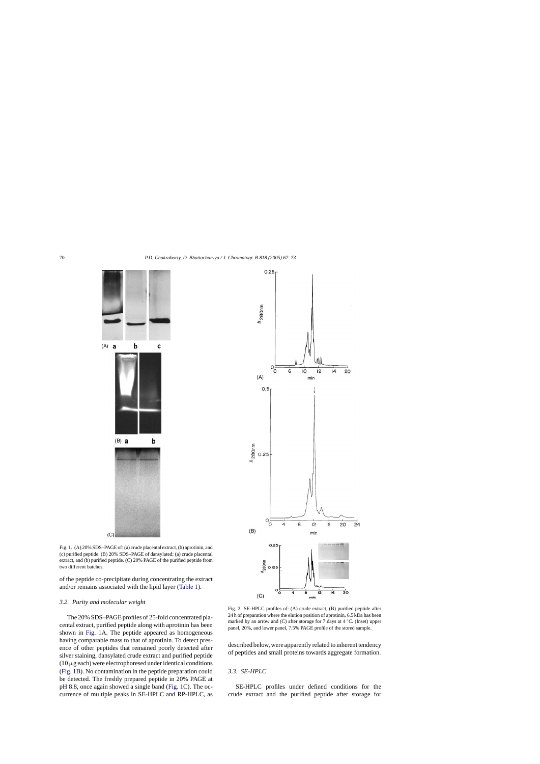<span id="page-3-0"></span>

Fig. 1. (A) 20% SDS–PAGE of: (a) crude placental extract, (b) aprotinin, and (c) purified peptide. (B) 20% SDS–PAGE of dansylated: (a) crude placental extract, and (b) purified peptide. (C) 20% PAGE of the purified peptide from two different batches.

of the peptide co-precipitate during concentrating the extract and/or remains associated with the lipid layer ([Table 1\).](#page-2-0)

## *3.2. Purity and molecular weight*

The 20% SDS–PAGE profiles of 25-fold concentrated placental extract, purified peptide along with aprotinin has been shown in Fig. 1A. The peptide appeared as homogeneous having comparable mass to that of aprotinin. To detect presence of other peptides that remained poorly detected after silver staining, dansylated crude extract and purified peptide  $(10 \mu g)$  each) were electrophoresed under identical conditions (Fig. 1B). No contamination in the peptide preparation could be detected. The freshly prepared peptide in 20% PAGE at pH 8.8, once again showed a single band (Fig. 1C). The occurrence of multiple peaks in SE-HPLC and RP-HPLC, as



Fig. 2. SE-HPLC profiles of: (A) crude extract, (B) purified peptide after 24 h of preparation where the elution position of aprotinin, 6.5 kDa has been marked by an arrow and  $(C)$  after storage for 7 days at  $4 °C$ . (Inset) upper panel, 20%, and lower panel, 7.5% PAGE profile of the stored sample.

described below, were apparently related to inherent tendency of peptides and small proteins towards aggregate formation.

#### *3.3. SE-HPLC*

SE-HPLC profiles under defined conditions for the crude extract and the purified peptide after storage for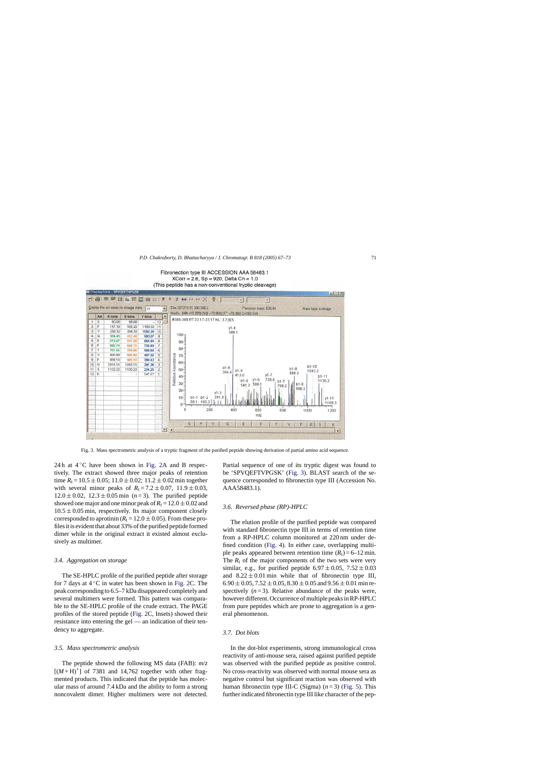Fibronection type III ACCESSION AAA 58483.1  $XCorr = 2.6$ , Sp = 920, Delta Cn = 1.0 (This peptide has a non-conventional tryptic cleavage)



Fig. 3. Mass spectrometric analysis of a tryptic fragment of the purified peptide showing derivation of partial amino acid sequence.

24 h at  $4^{\circ}$ C have been shown in [Fig. 2A](#page-3-0) and B respectively. The extract showed three major peaks of retention time  $R_t = 10.5 \pm 0.05$ ; 11.0  $\pm$  0.02; 11.2  $\pm$  0.02 min together with several minor peaks of  $R_1 = 7.2 \pm 0.07$ ,  $11.9 \pm 0.03$ ,  $12.0 \pm 0.02$ ,  $12.3 \pm 0.05$  min (*n* = 3). The purified peptide showed one major and one minor peak of  $R_t = 12.0 \pm 0.02$  and  $10.5 \pm 0.05$  min, respectively. Its major component closely corresponded to aprotinin ( $R_t = 12.0 \pm 0.05$ ). From these profiles it is evident that about 33% of the purified peptide formed dimer while in the original extract it existed almost exclusively as multimer.

## *3.4. Aggregation on storage*

The SE-HPLC profile of the purified peptide after storage for 7 days at 4 ◦C in water has been shown in [Fig. 2C](#page-3-0). The peak corresponding to 6.5–7 kDa disappeared completely and several multimers were formed. This pattern was comparable to the SE-HPLC profile of the crude extract. The PAGE profiles of the stored peptide ([Fig. 2C](#page-3-0), Insets) showed their resistance into entering the gel — an indication of their tendency to aggregate.

## *3.5. Mass spectrometric analysis*

The peptide showed the following MS data (FAB): *m*/*z*  $[(M+H)^+]$  of 7381 and 14,762 together with other fragmented products. This indicated that the peptide has molecular mass of around 7.4 kDa and the ability to form a strong noncovalent dimer. Higher multimers were not detected.

Partial sequence of one of its tryptic digest was found to be 'SPVQEFTVPGSK' (Fig. 3). BLAST search of the sequence corresponded to fibronectin type III (Accession No. AAA58483.1).

#### *3.6. Reversed phase (RP)-HPLC*

The elution profile of the purified peptide was compared with standard fibronectin type III in terms of retention time from a RP-HPLC column monitored at 220 nm under defined condition ([Fig. 4\).](#page-5-0) In either case, overlapping multiple peaks appeared between retention time  $(R_t) = 6 - 12$  min. The  $R_t$  of the major components of the two sets were very similar, e.g., for purified peptide  $6.97 \pm 0.05$ ,  $7.52 \pm 0.03$ and  $8.22 \pm 0.01$  min while that of fibronectin type III,  $6.90 \pm 0.05$ ,  $7.52 \pm 0.05$ ,  $8.30 \pm 0.05$  and  $9.56 \pm 0.01$  min respectively  $(n=3)$ . Relative abundance of the peaks were, however different. Occurrence of multiple peaks in RP-HPLC from pure peptides which are prone to aggregation is a general phenomenon.

# *3.7. Dot blots*

In the dot-blot experiments, strong immunological cross reactivity of anti-mouse sera, raised against purified peptide was observed with the purified peptide as positive control. No cross-reactivity was observed with normal mouse sera as negative control but significant reaction was observed with human fibronectin type III-C (Sigma)  $(n=3)$  ([Fig. 5\).](#page-5-0) This further indicated fibronectin type III like character of the pep-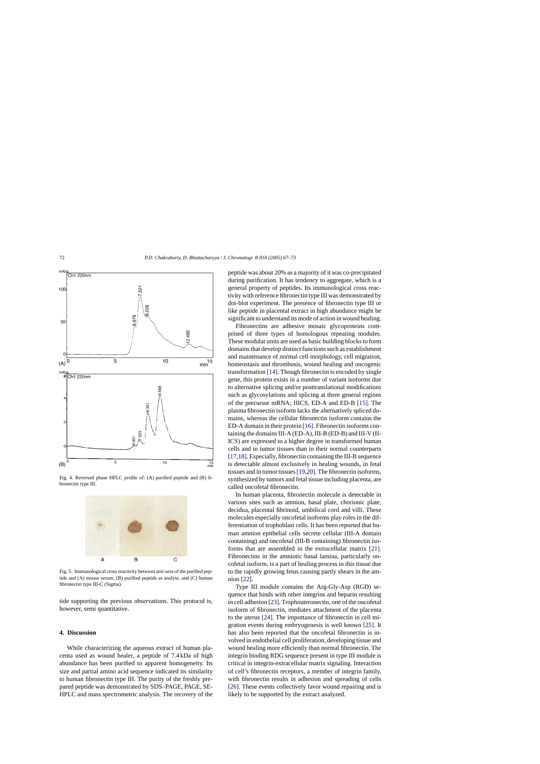<span id="page-5-0"></span>

Fig. 4. Reversed phase HPLC profile of: (A) purified peptide and (B) fibronectin type III.



Fig. 5. Immunological cross reactivity between anti-sera of the purified peptide and (A) mouse serum, (B) purified peptide as analyte, and (C) human fibronectin type III-C (Sigma).

tide supporting the previous observations. This protocol is, however, semi quantitative.

# **4. Discussion**

While characterizing the aqueous extract of human placenta used as wound healer, a peptide of 7.4 kDa of high abundance has been purified to apparent homogeneity. Its size and partial amino acid sequence indicated its similarity to human fibronectin type III. The purity of the freshly prepared peptide was demonstrated by SDS–PAGE, PAGE, SE-HPLC and mass spectrometric analysis. The recovery of the peptide was about 20% as a majority of it was co-precipitated during purification. It has tendency to aggregate, which is a general property of peptides. Its immunological cross reactivity with reference fibronectin type III was demonstrated by dot-blot experiment. The presence of fibronectin type III or like peptide in placental extract in high abundance might be significant to understand its mode of action in wound healing.

Fibronectins are adhesive mosaic glycoproteins comprised of three types of homologous repeating modules. These modular units are used as basic building blocks to form domains that develop distinct functions such as establishment and maintenance of normal cell morphology, cell migration, homeostasis and thrombosis, wound healing and oncogenic transformation [\[14\]. T](#page-6-0)hough fibronectin is encoded by single gene, this protein exists in a number of variant isoforms due to alternative splicing and/or posttranslational modifications such as glycosylations and splicing at three general regions of the precursor mRNA; IIICS, ED-A and ED-B [\[15\].](#page-6-0) The plasma fibronectin isoform lacks the alternatively spliced domains, whereas the cellular fibronectin isoform contains the ED-A domain in their protein [\[16\]. F](#page-6-0)ibronectin isoforms containing the domains III-A (ED-A), III-B (ED-B) and III-V (II-ICS) are expressed to a higher degree in transformed human cells and in tumor tissues than in their normal counterparts [\[17,18\]. E](#page-6-0)specially, fibronectin containing the III-B sequence is detectable almost exclusively in healing wounds, in fetal tissues and in tumor tissues[\[19,20\]. T](#page-6-0)he fibronectin isoforms, synthesized by tumors and fetal tissue including placenta, are called oncofetal fibronectin.

In human placenta, fibronectin molecule is detectable in various sites such as amnion, basal plate, chorionic plate, decidua, placental fibrinoid, umbilical cord and villi. These molecules especially oncofetal isoforms play roles in the differentiation of trophoblast cells. It has been reported that human amnion epithelial cells secrete cellular (III-A domain containing) and oncofetal (III-B containing) fibronectin isoforms that are assembled in the extracellular matrix [\[21\].](#page-6-0) Fibronectins in the amniotic basal lamina, particularly oncofetal isoform, is a part of healing process in this tissue due to the rapidly growing fetus causing partly shears in the amnion [\[22\].](#page-6-0)

Type III module contains the Arg-Gly-Asp (RGD) sequence that binds with other integrins and heparin resulting in cell adhesion [\[23\]. T](#page-6-0)rophouteronectin, one of the oncofetal isoform of fibronectin, mediates attachment of the placenta to the uterus [\[24\].](#page-6-0) The importance of fibronectin in cell migration events during embryogenesis is well known [\[25\].](#page-6-0) It has also been reported that the oncofetal fibronectin is involved in endothelial cell proliferation, developing tissue and wound healing more efficiently than normal fibronectin. The integrin binding RDG sequence present in type III module is critical in integrin-extracellular matrix signaling. Interaction of cell's fibronectin receptors, a member of integrin family, with fibronectin results in adhesion and spreading of cells [\[26\].](#page-6-0) These events collectively favor wound repairing and is likely to be supported by the extract analyzed.